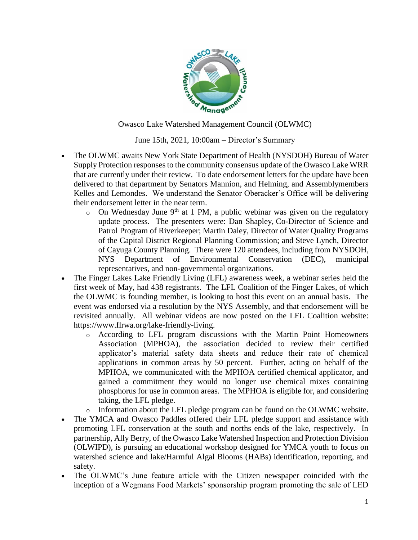

Owasco Lake Watershed Management Council (OLWMC)

June 15th, 2021, 10:00am – Director's Summary

- The OLWMC awaits New York State Department of Health (NYSDOH) Bureau of Water Supply Protection responses to the community consensus update of the Owasco Lake WRR that are currently under their review. To date endorsement letters for the update have been delivered to that department by Senators Mannion, and Helming, and Assemblymembers Kelles and Lemondes. We understand the Senator Oberacker's Office will be delivering their endorsement letter in the near term.
	- $\circ$  On Wednesday June 9<sup>th</sup> at 1 PM, a public webinar was given on the regulatory update process. The presenters were: Dan Shapley, Co-Director of Science and Patrol Program of Riverkeeper; Martin Daley, Director of Water Quality Programs of the Capital District Regional Planning Commission; and Steve Lynch, Director of Cayuga County Planning. There were 120 attendees, including from NYSDOH, NYS Department of Environmental Conservation (DEC), municipal representatives, and non-governmental organizations.
- The Finger Lakes Lake Friendly Living (LFL) awareness week, a webinar series held the first week of May, had 438 registrants. The LFL Coalition of the Finger Lakes, of which the OLWMC is founding member, is looking to host this event on an annual basis. The event was endorsed via a resolution by the NYS Assembly, and that endorsement will be revisited annually. All webinar videos are now posted on the LFL Coalition website: https://www.flrwa.org/lake-friendly-living.
	- o According to LFL program discussions with the Martin Point Homeowners Association (MPHOA), the association decided to review their certified applicator's material safety data sheets and reduce their rate of chemical applications in common areas by 50 percent. Further, acting on behalf of the MPHOA, we communicated with the MPHOA certified chemical applicator, and gained a commitment they would no longer use chemical mixes containing phosphorus for use in common areas. The MPHOA is eligible for, and considering taking, the LFL pledge.
	- o Information about the LFL pledge program can be found on the OLWMC website.
- The YMCA and Owasco Paddles offered their LFL pledge support and assistance with promoting LFL conservation at the south and norths ends of the lake, respectively. In partnership, Ally Berry, of the Owasco Lake Watershed Inspection and Protection Division (OLWIPD), is pursuing an educational workshop designed for YMCA youth to focus on watershed science and lake/Harmful Algal Blooms (HABs) identification, reporting, and safety.
- The OLWMC's June feature article with the Citizen newspaper coincided with the inception of a Wegmans Food Markets' sponsorship program promoting the sale of LED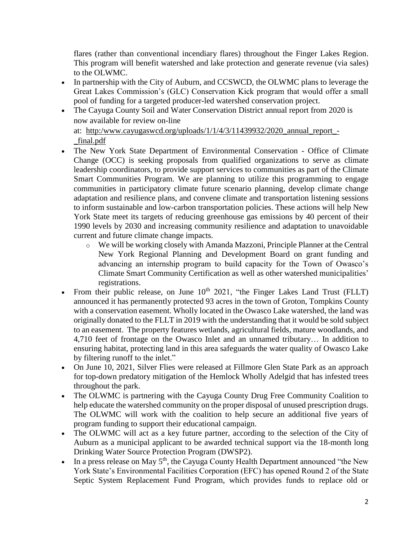flares (rather than conventional incendiary flares) throughout the Finger Lakes Region. This program will benefit watershed and lake protection and generate revenue (via sales) to the OLWMC.

- In partnership with the City of Auburn, and CCSWCD, the OLWMC plans to leverage the Great Lakes Commission's (GLC) Conservation Kick program that would offer a small pool of funding for a targeted producer-led watershed conservation project.
- The Cayuga County Soil and Water Conservation District annual report from 2020 is now available for review on-line at: [http:/www.cayugaswcd.org/uploads/1/1/4/3/11439932/2020\\_annual\\_report\\_-](http://www.cayugaswcd.org/uploads/1/1/4/3/11439932/2020_annual_report_-_final.pdf) [\\_final.pdf](http://www.cayugaswcd.org/uploads/1/1/4/3/11439932/2020_annual_report_-_final.pdf)
- The New York State Department of Environmental Conservation Office of Climate Change (OCC) is seeking proposals from qualified organizations to serve as climate leadership coordinators, to provide support services to communities as part of the [Climate](https://lnks.gd/l/eyJhbGciOiJIUzI1NiJ9.eyJidWxsZXRpbl9saW5rX2lkIjoxMDMsInVyaSI6ImJwMjpjbGljayIsImJ1bGxldGluX2lkIjoiMjAyMTA1MjYuNDExMTE0MjEiLCJ1cmwiOiJodHRwczovL2NsaW1hdGVzbWFydC5ueS5nb3YvIn0.OmRNt-HDutj2zjGg0GdZkaGSjuHsbEJb0RtQ-pYiv3M/s/980359839/br/106992646680-l)  [Smart Communities Program.](https://lnks.gd/l/eyJhbGciOiJIUzI1NiJ9.eyJidWxsZXRpbl9saW5rX2lkIjoxMDMsInVyaSI6ImJwMjpjbGljayIsImJ1bGxldGluX2lkIjoiMjAyMTA1MjYuNDExMTE0MjEiLCJ1cmwiOiJodHRwczovL2NsaW1hdGVzbWFydC5ueS5nb3YvIn0.OmRNt-HDutj2zjGg0GdZkaGSjuHsbEJb0RtQ-pYiv3M/s/980359839/br/106992646680-l) We are planning to utilize this programming to engage communities in participatory climate future scenario planning, develop climate change adaptation and resilience plans, and convene climate and transportation listening sessions to inform sustainable and low-carbon transportation policies. These actions will help New York State meet its targets of reducing greenhouse gas emissions by 40 percent of their 1990 levels by 2030 and increasing community resilience and adaptation to unavoidable current and future climate change impacts.
	- o We will be working closely with Amanda Mazzoni, Principle Planner at the Central New York Regional Planning and Development Board on grant funding and advancing an internship program to build capacity for the Town of Owasco's Climate Smart Community Certification as well as other watershed municipalities' registrations.
- From their public release, on June 10<sup>th</sup> 2021, "the Finger Lakes Land Trust (FLLT) announced it has permanently protected 93 acres in the town of Groton, Tompkins County with a conservation easement. Wholly located in the Owasco Lake watershed, the land was originally donated to the FLLT in 2019 with the understanding that it would be sold subject to an easement. The property features wetlands, agricultural fields, mature woodlands, and 4,710 feet of frontage on the Owasco Inlet and an unnamed tributary… In addition to ensuring habitat, protecting land in this area safeguards the water quality of Owasco Lake by filtering runoff to the inlet."
- On June 10, 2021, Silver Flies were released at Fillmore Glen State Park as an approach for top-down predatory mitigation of the Hemlock Wholly Adelgid that has infested trees throughout the park.
- The OLWMC is partnering with the Cayuga County Drug Free Community Coalition to help educate the watershed community on the proper disposal of unused prescription drugs. The OLWMC will work with the coalition to help secure an additional five years of program funding to support their educational campaign.
- The OLWMC will act as a key future partner, according to the selection of the City of Auburn as a municipal applicant to be awarded technical support via the 18-month long Drinking Water Source Protection Program (DWSP2).
- In a press release on May 5<sup>th</sup>, the Cayuga County Health Department announced "the New York State's Environmental Facilities Corporation (EFC) has opened Round 2 of the State Septic System Replacement Fund Program, which provides funds to replace old or